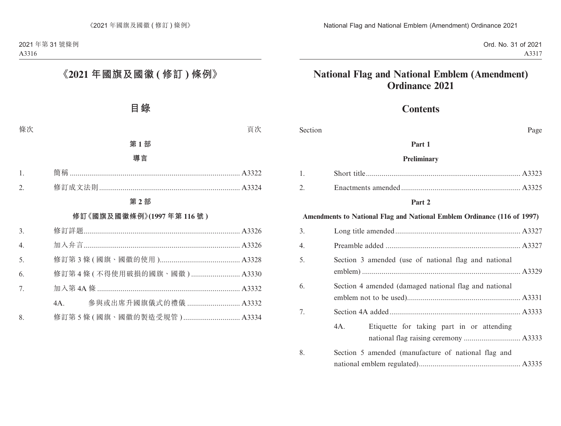# **Contents**

| Section | Page                                                                    |
|---------|-------------------------------------------------------------------------|
|         | Part 1                                                                  |
|         | <b>Preliminary</b>                                                      |
| 1.      |                                                                         |
| 2.      |                                                                         |
|         | Part 2                                                                  |
|         | Amendments to National Flag and National Emblem Ordinance (116 of 1997) |
| 3.      |                                                                         |
| 4.      |                                                                         |
| 5.      | Section 3 amended (use of national flag and national                    |
| 6.      | Section 4 amended (damaged national flag and national                   |
| 7.      |                                                                         |
|         | 4A.<br>Etiquette for taking part in or attending                        |
| 8.      | Section 5 amended (manufacture of national flag and                     |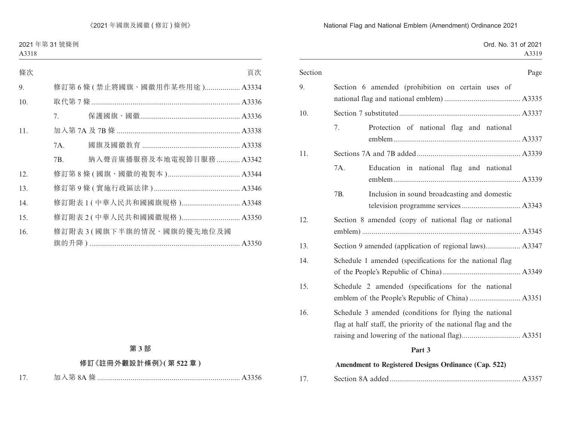|  |  | Ord. No. 31 of 2021 |
|--|--|---------------------|
|  |  | A3319               |

| Section |                                                                                                                         |                                              | Page |
|---------|-------------------------------------------------------------------------------------------------------------------------|----------------------------------------------|------|
| 9.      | Section 6 amended (prohibition on certain uses of                                                                       |                                              |      |
|         |                                                                                                                         |                                              |      |
| 10.     |                                                                                                                         |                                              |      |
|         | 7.                                                                                                                      | Protection of national flag and national     |      |
| 11.     |                                                                                                                         |                                              |      |
|         | 7A.                                                                                                                     | Education in national flag and national      |      |
|         | 7B.                                                                                                                     | Inclusion in sound broadcasting and domestic |      |
| 12.     | Section 8 amended (copy of national flag or national                                                                    |                                              |      |
| 13.     |                                                                                                                         |                                              |      |
| 14.     | Schedule 1 amended (specifications for the national flag                                                                |                                              |      |
| 15.     | Schedule 2 amended (specifications for the national                                                                     |                                              |      |
| 16.     | Schedule 3 amended (conditions for flying the national<br>flag at half staff, the priority of the national flag and the |                                              |      |
|         | Part 3                                                                                                                  |                                              |      |
|         |                                                                                                                         |                                              |      |
|         | Amendment to Registered Designs Ordinance (Cap. 522)                                                                    |                                              |      |

| 17. |  |  |  |
|-----|--|--|--|
|-----|--|--|--|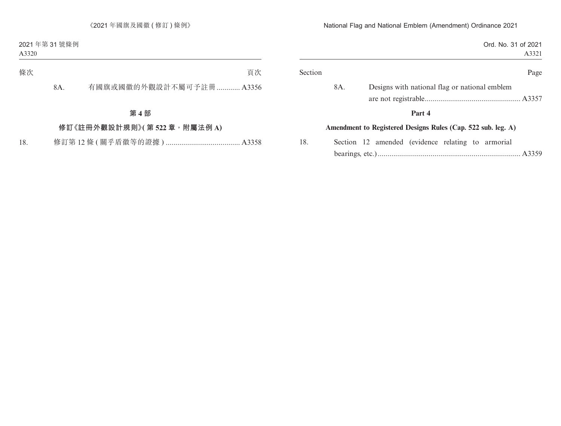| Ord. No. 31 of 2021<br>A3321                                 |     |
|--------------------------------------------------------------|-----|
| Page                                                         |     |
| Designs with national flag or national emblem                | 8A. |
| Part 4                                                       |     |
| Amendment to Registered Designs Rules (Cap. 522 sub. leg. A) |     |
| Section 12 amended (evidence relating to armorial            |     |
|                                                              |     |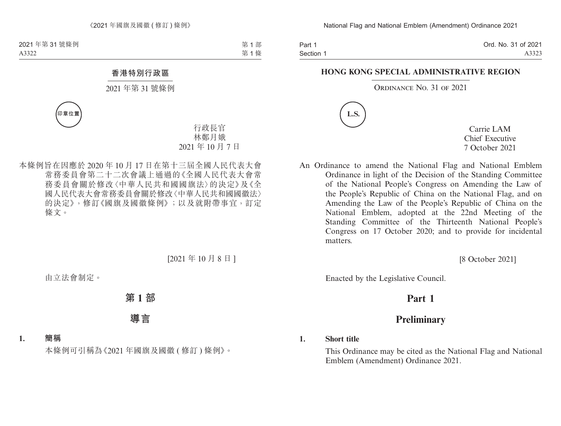Part 1 Section 1 Ord. No. 31 of 2021 A3323

#### **HONG KONG SPECIAL ADMINISTRATIVE REGION**

#### ORDINANCE NO. 31 OF 2021



Carrie LAM Chief Executive 7 October 2021

An Ordinance to amend the National Flag and National Emblem Ordinance in light of the Decision of the Standing Committee of the National People's Congress on Amending the Law of the People's Republic of China on the National Flag, and on Amending the Law of the People's Republic of China on the National Emblem, adopted at the 22nd Meeting of the Standing Committee of the Thirteenth National People's Congress on 17 October 2020; and to provide for incidental matters.

[8 October 2021]

Enacted by the Legislative Council.

# **Part 1**

# **Preliminary**

#### **1. Short title**

This Ordinance may be cited as the National Flag and National Emblem (Amendment) Ordinance 2021.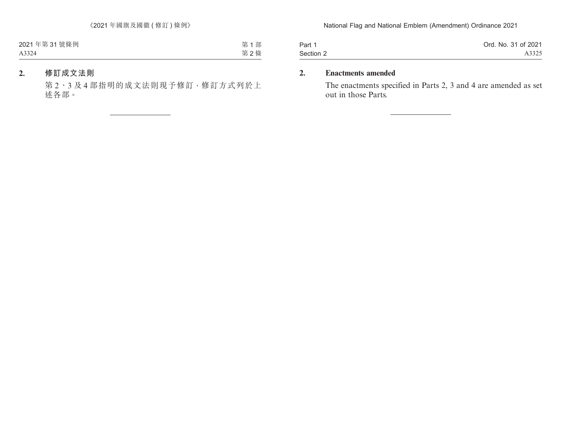| Part 1    | Ord. No. 31 of 2021 |
|-----------|---------------------|
| Section 2 | A3325               |

# **2. Enactments amended**

The enactments specified in Parts 2, 3 and 4 are amended as set out in those Parts.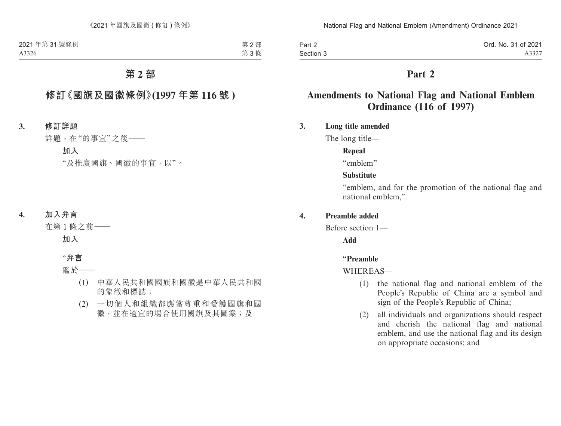| Part 2    | Ord. No. 31 of 2021 |
|-----------|---------------------|
| Section 3 | A3327               |

# **Part 2**

# **Amendments to National Flag and National Emblem Ordinance (116 of 1997)**

## **3. Long title amended**

The long title—

#### **Repeal**

"emblem"

#### **Substitute**

"emblem, and for the promotion of the national flag and national emblem,".

### **4. Preamble added**

Before section 1—

**Add**

#### "**Preamble**

#### WHEREAS-

- (1) the national flag and national emblem of the People's Republic of China are a symbol and sign of the People's Republic of China;
- (2) all individuals and organizations should respect and cherish the national flag and national emblem, and use the national flag and its design on appropriate occasions; and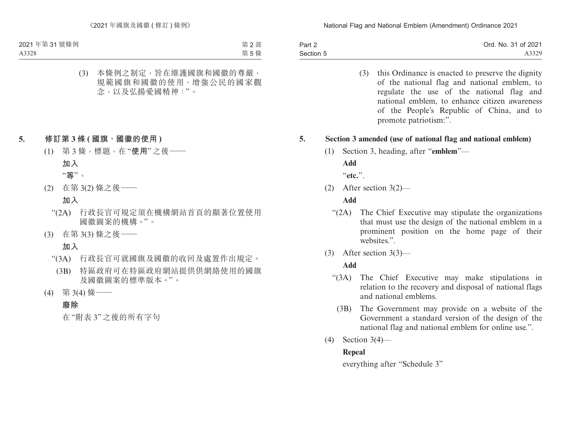| Part 2    | Ord. No. 31 of 2021 |
|-----------|---------------------|
| Section 5 | A3329               |

(3) this Ordinance is enacted to preserve the dignity of the national flag and national emblem, to regulate the use of the national flag and national emblem, to enhance citizen awareness of the People's Republic of China, and to promote patriotism:".

### **5. Section 3 amended (use of national flag and national emblem)**

(1) Section 3, heading, after "**emblem**"—

**Add**

"**etc.**".

(2) After section 3(2)—

#### **Add**

- "(2A) The Chief Executive may stipulate the organizations that must use the design of the national emblem in a prominent position on the home page of their websites.".
- (3) After section 3(3)—

## **Add**

- "(3A) The Chief Executive may make stipulations in relation to the recovery and disposal of national flags and national emblems.
	- (3B) The Government may provide on a website of the Government a standard version of the design of the national flag and national emblem for online use.".
- (4) Section 3(4)—

## **Repeal**

everything after "Schedule 3"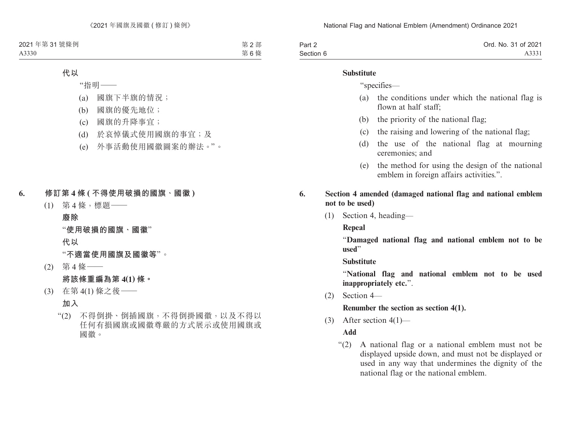| Part 2    | Ord. No. 31 of 2021 |
|-----------|---------------------|
| Section 6 | A3331               |

#### **Substitute**

"specifies—

- (a) the conditions under which the national flag is flown at half staff;
- (b) the priority of the national flag;
- (c) the raising and lowering of the national flag;
- (d) the use of the national flag at mourning ceremonies; and
- (e) the method for using the design of the national emblem in foreign affairs activities.".
- **6. Section 4 amended (damaged national flag and national emblem not to be used)**
	- (1) Section 4, heading—

**Repeal**

"**Damaged national flag and national emblem not to be used**"

**Substitute**

"**National flag and national emblem not to be used inappropriately etc.**".

(2) Section 4—

**Renumber the section as section 4(1).**

(3) After section  $4(1)$ —

**Add**

"(2) A national flag or a national emblem must not be displayed upside down, and must not be displayed or used in any way that undermines the dignity of the national flag or the national emblem.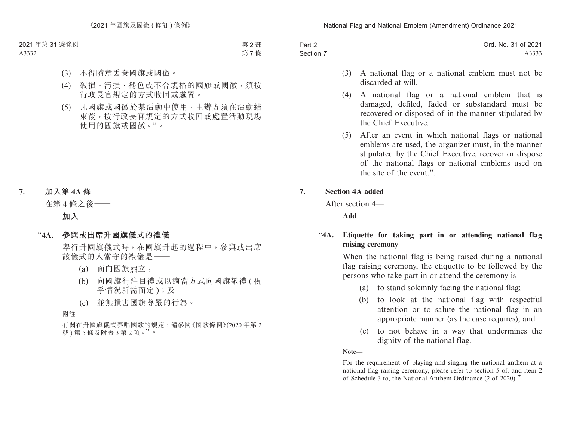| Part 2    | Ord. No. 31 of 2021 |
|-----------|---------------------|
| Section 7 | A3333               |

- (3) A national flag or a national emblem must not be discarded at will.
- (4) A national flag or a national emblem that is damaged, defiled, faded or substandard must be recovered or disposed of in the manner stipulated by the Chief Executive.
- (5) After an event in which national flags or national emblems are used, the organizer must, in the manner stipulated by the Chief Executive, recover or dispose of the national flags or national emblems used on the site of the event."

## **7. Section 4A added**

After section 4—

**Add**

# "**4A. Etiquette for taking part in or attending national flag raising ceremony**

When the national flag is being raised during a national flag raising ceremony, the etiquette to be followed by the persons who take part in or attend the ceremony is—

- (a) to stand solemnly facing the national flag;
- (b) to look at the national flag with respectful attention or to salute the national flag in an appropriate manner (as the case requires); and
- (c) to not behave in a way that undermines the dignity of the national flag.

**Note—**

For the requirement of playing and singing the national anthem at a national flag raising ceremony, please refer to section 5 of, and item 2 of Schedule 3 to, the National Anthem Ordinance (2 of 2020).".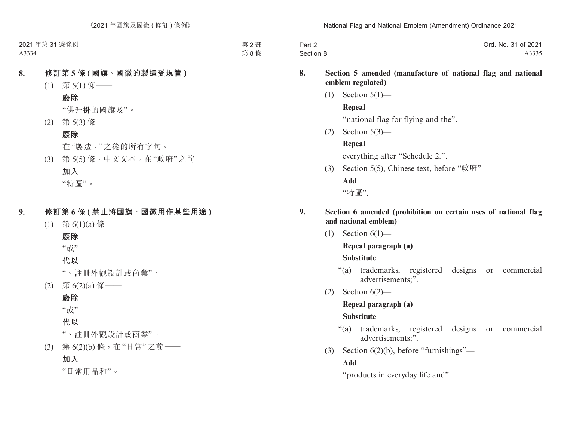| Part 2    | Ord. No. 31 of 2021 |
|-----------|---------------------|
| Section 8 | A3335               |

### **8. Section 5 amended (manufacture of national flag and national emblem regulated)**

 $(1)$  Section  $5(1)$ —

### **Repeal**

"national flag for flying and the".

(2) Section 5(3)—

# **Repeal**

everything after "Schedule 2.".

(3) Section 5(5), Chinese text, before "政府"—

# **Add**

"特區".

## **9. Section 6 amended (prohibition on certain uses of national flag and national emblem)**

 $(1)$  Section  $6(1)$ —

# **Repeal paragraph (a)**

# **Substitute**

- "(a) trademarks, registered designs or commercial advertisements;".
- (2) Section  $6(2)$ —

# **Repeal paragraph (a)**

# **Substitute**

- "(a) trademarks, registered designs or commercial advertisements;".
- (3) Section 6(2)(b), before "furnishings"—

# **Add**

"products in everyday life and".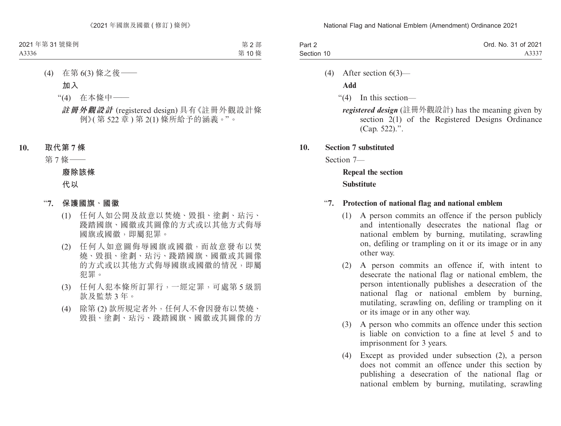| Part 2     | Ord. No. 31 of 2021 |
|------------|---------------------|
| Section 10 | A3337               |

(4) After section 6(3)—

**Add**

"(4) In this section—

*registered design* (註冊外觀設計) has the meaning given by section 2(1) of the Registered Designs Ordinance (Cap. 522).".

**10. Section 7 substituted**

Section 7—

**Repeal the section Substitute**

### "**7. Protection of national flag and national emblem**

- (1) A person commits an offence if the person publicly and intentionally desecrates the national flag or national emblem by burning, mutilating, scrawling on, defiling or trampling on it or its image or in any other way.
- (2) A person commits an offence if, with intent to desecrate the national flag or national emblem, the person intentionally publishes a desecration of the national flag or national emblem by burning, mutilating, scrawling on, defiling or trampling on it or its image or in any other way.
- (3) A person who commits an offence under this section is liable on conviction to a fine at level 5 and to imprisonment for 3 years.
- (4) Except as provided under subsection (2), a person does not commit an offence under this section by publishing a desecration of the national flag or national emblem by burning, mutilating, scrawling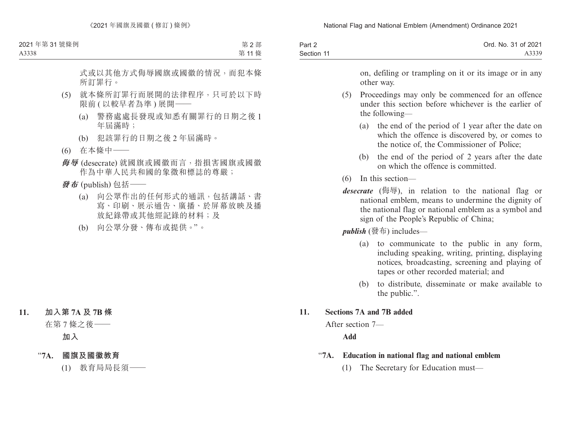| Part 2     | Ord. No. 31 of 2021 |
|------------|---------------------|
| Section 11 | A3339               |

on, defiling or trampling on it or its image or in any other way.

- (5) Proceedings may only be commenced for an offence under this section before whichever is the earlier of the following—
	- (a) the end of the period of 1 year after the date on which the offence is discovered by, or comes to the notice of, the Commissioner of Police;
	- (b) the end of the period of 2 years after the date on which the offence is committed.
- (6) In this section—
- *desecrate* (侮辱), in relation to the national flag or national emblem, means to undermine the dignity of the national flag or national emblem as a symbol and sign of the People's Republic of China;

*publish* (發布) includes—

- (a) to communicate to the public in any form, including speaking, writing, printing, displaying notices, broadcasting, screening and playing of tapes or other recorded material; and
- (b) to distribute, disseminate or make available to the public.".

## **11. Sections 7A and 7B added**

After section 7—

**Add**

- "**7A. Education in national flag and national emblem**
	- (1) The Secretary for Education must—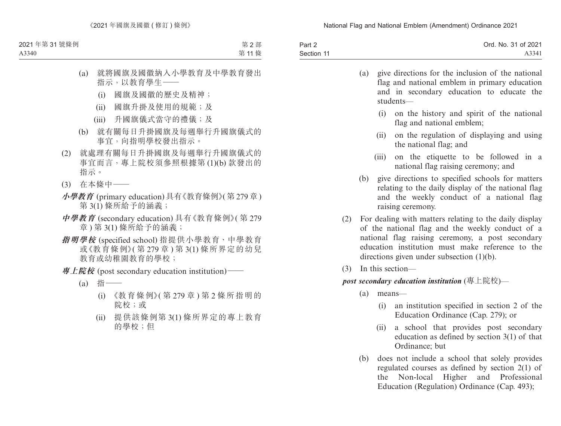| Part 2     | Ord. No. 31 of 2021 |
|------------|---------------------|
| Section 11 | A3341               |

| (a) give directions for the inclusion of the national |
|-------------------------------------------------------|
| flag and national emblem in primary education         |
| and in secondary education to educate the             |
| students—                                             |

- (i) on the history and spirit of the national flag and national emblem;
- (ii) on the regulation of displaying and using the national flag; and
- (iii) on the etiquette to be followed in a national flag raising ceremony; and
- (b) give directions to specified schools for matters relating to the daily display of the national flag and the weekly conduct of a national flag raising ceremony.
- (2) For dealing with matters relating to the daily display of the national flag and the weekly conduct of a national flag raising ceremony, a post secondary education institution must make reference to the directions given under subsection (1)(b).
- (3) In this section—

## *post secondary education institution* (專上院校)—

- (a) means—
	- (i) an institution specified in section 2 of the Education Ordinance (Cap. 279); or
	- (ii) a school that provides post secondary education as defined by section 3(1) of that Ordinance; but
- (b) does not include a school that solely provides regulated courses as defined by section 2(1) of the Non-local Higher and Professional Education (Regulation) Ordinance (Cap. 493);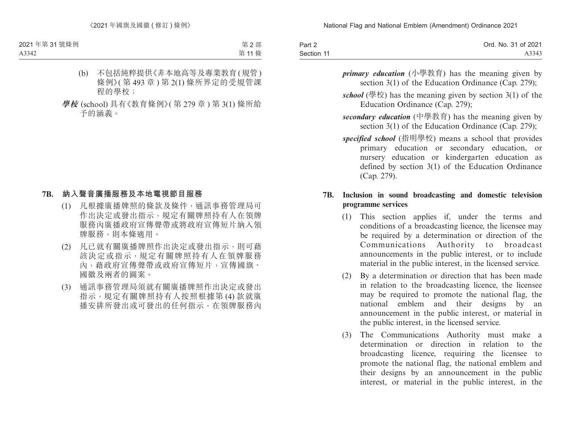| Part 2     | Ord. No. 31 of 2021 |
|------------|---------------------|
| Section 11 | A3343               |

- *primary education* (小學教育) has the meaning given by section 3(1) of the Education Ordinance (Cap. 279);
- *school* (學校) has the meaning given by section  $3(1)$  of the Education Ordinance (Cap. 279);
- *secondary education* (中學教育) has the meaning given by section 3(1) of the Education Ordinance (Cap. 279);
- *specified school* (指明學校) means a school that provides primary education or secondary education, or nursery education or kindergarten education as defined by section 3(1) of the Education Ordinance (Cap. 279).

### **7B. Inclusion in sound broadcasting and domestic television programme services**

- (1) This section applies if, under the terms and conditions of a broadcasting licence, the licensee may be required by a determination or direction of the Communications Authority to broadcast announcements in the public interest, or to include material in the public interest, in the licensed service.
- (2) By a determination or direction that has been made in relation to the broadcasting licence, the licensee may be required to promote the national flag, the national emblem and their designs by an announcement in the public interest, or material in the public interest, in the licensed service.
- (3) The Communications Authority must make a determination or direction in relation to the broadcasting licence, requiring the licensee to promote the national flag, the national emblem and their designs by an announcement in the public interest, or material in the public interest, in the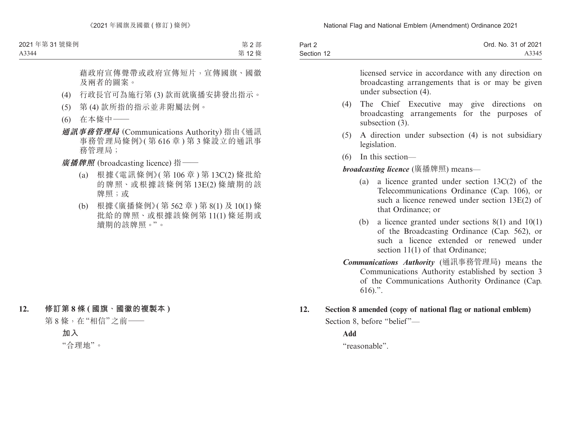| Part 2     | Ord. No. 31 of 2021 |
|------------|---------------------|
| Section 12 | A3345               |

licensed service in accordance with any direction on broadcasting arrangements that is or may be given under subsection (4).

- (4) The Chief Executive may give directions on broadcasting arrangements for the purposes of subsection  $(3)$ .
- (5) A direction under subsection (4) is not subsidiary legislation.
- (6) In this section—

*broadcasting licence* (廣播牌照) means—

- (a) a licence granted under section 13C(2) of the Telecommunications Ordinance (Cap. 106), or such a licence renewed under section 13E(2) of that Ordinance; or
- (b) a licence granted under sections 8(1) and 10(1) of the Broadcasting Ordinance (Cap. 562), or such a licence extended or renewed under section 11(1) of that Ordinance;
- *Communications Authority* (通訊事務管理局) means the Communications Authority established by section 3 of the Communications Authority Ordinance (Cap. 616).".
- **12. Section 8 amended (copy of national flag or national emblem)**

Section 8, before "belief"—

**Add**

"reasonable".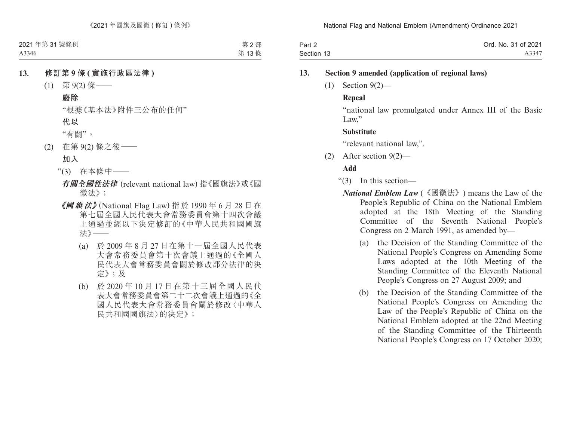| Part 2     | Ord. No. 31 of 2021 |
|------------|---------------------|
| Section 13 | A3347               |

#### **13. Section 9 amended (application of regional laws)**

(1) Section 9(2)—

### **Repeal**

"national law promulgated under Annex III of the Basic Law."

### **Substitute**

"relevant national law,".

(2) After section 9(2)—

## **Add**

- "(3) In this section—
	- *National Emblem Law* (《國徽法》) means the Law of the People's Republic of China on the National Emblem adopted at the 18th Meeting of the Standing Committee of the Seventh National People's Congress on 2 March 1991, as amended by—
		- (a) the Decision of the Standing Committee of the National People's Congress on Amending Some Laws adopted at the 10th Meeting of the Standing Committee of the Eleventh National People's Congress on 27 August 2009; and
		- (b) the Decision of the Standing Committee of the National People's Congress on Amending the Law of the People's Republic of China on the National Emblem adopted at the 22nd Meeting of the Standing Committee of the Thirteenth National People's Congress on 17 October 2020;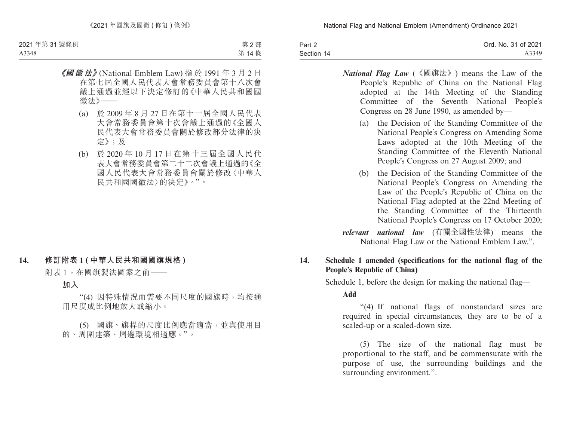| Part 2     | Ord. No. 31 of 2021 |
|------------|---------------------|
| Section 14 | A3349               |

- *National Flag Law* (《國旗法》) means the Law of the People's Republic of China on the National Flag adopted at the 14th Meeting of the Standing Committee of the Seventh National People's Congress on 28 June 1990, as amended by—
	- (a) the Decision of the Standing Committee of the National People's Congress on Amending Some Laws adopted at the 10th Meeting of the Standing Committee of the Eleventh National People's Congress on 27 August 2009; and
	- (b) the Decision of the Standing Committee of the National People's Congress on Amending the Law of the People's Republic of China on the National Flag adopted at the 22nd Meeting of the Standing Committee of the Thirteenth National People's Congress on 17 October 2020;

*relevant national law* (有關全國性法律) means the National Flag Law or the National Emblem Law.".

## **14. Schedule 1 amended (specifications for the national flag of the People's Republic of China)**

Schedule 1, before the design for making the national flag—

**Add**

"(4) If national flags of nonstandard sizes are required in special circumstances, they are to be of a scaled-up or a scaled-down size.

(5) The size of the national flag must be proportional to the staff, and be commensurate with the purpose of use, the surrounding buildings and the surrounding environment.".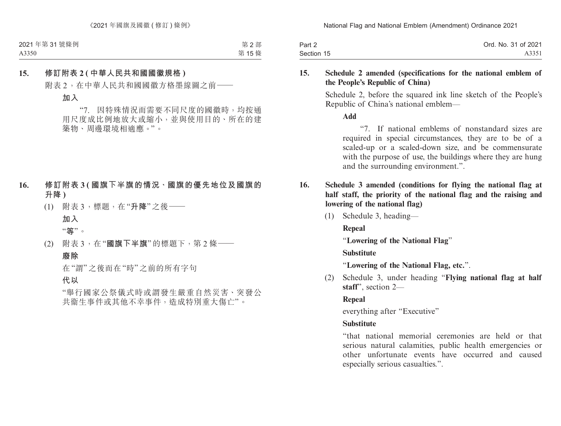| Part 2     | Ord. No. 31 of 2021 |
|------------|---------------------|
| Section 15 | A3351               |

### **15. Schedule 2 amended (specifications for the national emblem of the People's Republic of China)**

Schedule 2, before the squared ink line sketch of the People's Republic of China's national emblem—

**Add**

"7. If national emblems of nonstandard sizes are required in special circumstances, they are to be of a scaled-up or a scaled-down size, and be commensurate with the purpose of use, the buildings where they are hung and the surrounding environment.".

- **16. Schedule 3 amended (conditions for flying the national flag at half staff, the priority of the national flag and the raising and lowering of the national flag)**
	- (1) Schedule 3, heading—

**Repeal**

"**Lowering of the National Flag**"

**Substitute**

"**Lowering of the National Flag, etc.**".

(2) Schedule 3, under heading "**Flying national flag at half staff**", section 2—

# **Repeal**

everything after "Executive"

# **Substitute**

"that national memorial ceremonies are held or that serious natural calamities, public health emergencies or other unfortunate events have occurred and caused especially serious casualties.".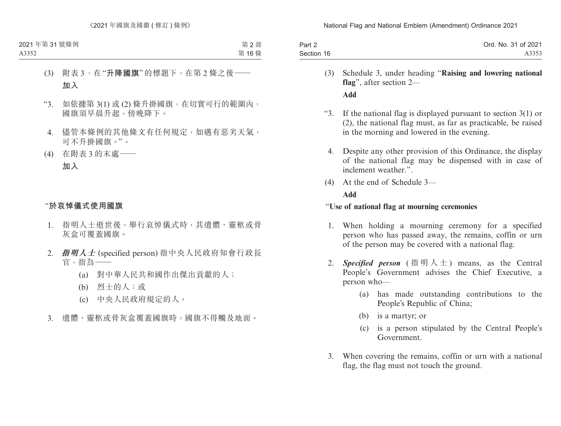| Part 2     | Ord. No. 31 of 2021 |
|------------|---------------------|
| Section 16 | A3353               |

- (3) Schedule 3, under heading "**Raising and lowering national flag**", after section 2— **Add**
- "3. If the national flag is displayed pursuant to section 3(1) or (2), the national flag must, as far as practicable, be raised in the morning and lowered in the evening.
	- 4. Despite any other provision of this Ordinance, the display of the national flag may be dispensed with in case of inclement weather.".
- (4) At the end of Schedule 3—

#### **Add**

#### "**Use of national flag at mourning ceremonies**

- 1. When holding a mourning ceremony for a specified person who has passed away, the remains, coffin or urn of the person may be covered with a national flag.
- 2. *Specified person* (指明人士) means, as the Central People's Government advises the Chief Executive, a person who—
	- (a) has made outstanding contributions to the People's Republic of China;
	- (b) is a martyr; or
	- (c) is a person stipulated by the Central People's Government.
- 3. When covering the remains, coffin or urn with a national flag, the flag must not touch the ground.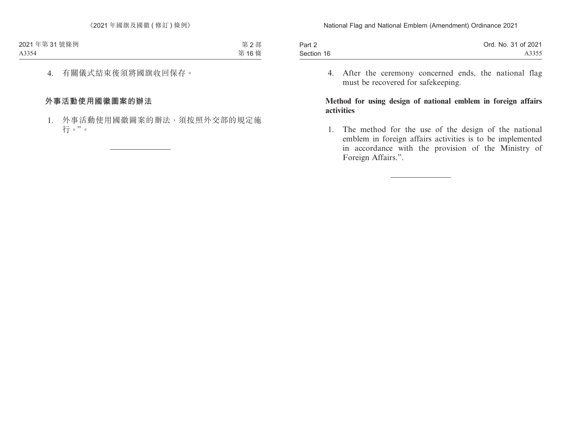| Part 2     | Ord. No. 31 of 2021 |
|------------|---------------------|
| Section 16 | A3355               |

4. After the ceremony concerned ends, the national flag must be recovered for safekeeping.

### **Method for using design of national emblem in foreign affairs activities**

1. The method for the use of the design of the national emblem in foreign affairs activities is to be implemented in accordance with the provision of the Ministry of Foreign Affairs.".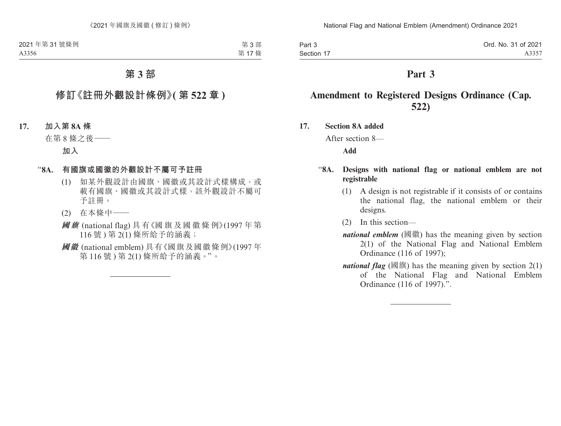| Part 3     | Ord. No. 31 of 2021 |
|------------|---------------------|
| Section 17 | A3357               |

# **Part 3**

# **Amendment to Registered Designs Ordinance (Cap. 522)**

**17. Section 8A added**

After section 8—

**Add**

## "**8A. Designs with national flag or national emblem are not registrable**

- (1) A design is not registrable if it consists of or contains the national flag, the national emblem or their designs.
- (2) In this section—
- *national emblem* (國徽) has the meaning given by section 2(1) of the National Flag and National Emblem Ordinance (116 of 1997);
- *national flag* (國旗) has the meaning given by section  $2(1)$ of the National Flag and National Emblem Ordinance (116 of 1997).".